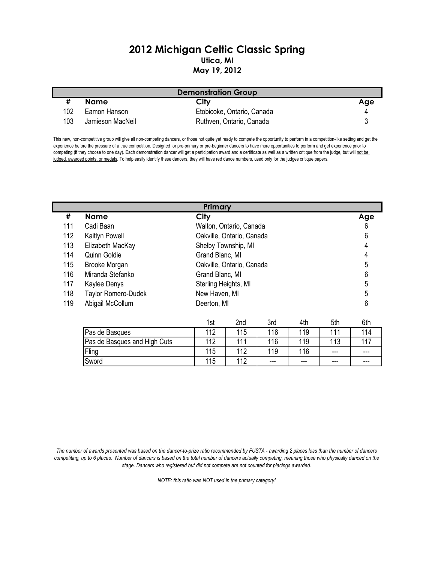## 2012 Michigan Celtic Classic Spring Utica, MI May 19, 2012

| <b>Demonstration Group</b> |                  |                            |     |  |
|----------------------------|------------------|----------------------------|-----|--|
|                            | Name             | City                       | Age |  |
| 102                        | Eamon Hanson     | Etobicoke, Ontario, Canada |     |  |
| 103                        | Jamieson MacNeil | Ruthven, Ontario, Canada   |     |  |

This new, non-competitive group will give all non-competing dancers, or those not quite yet ready to compete the opportunity to perform in a competition-like setting and get the experience before the pressure of a true competition. Designed for pre-primary or pre-beginner dancers to have more opportunities to perform and get experience prior to competing (if they choose to one day). Each demonstration dancer will get a participation award and a certificate as well as a written critique from the judge, but will not be judged, awarded points, or medals. To help easily identify these dancers, they will have red dance numbers, used only for the judges critique papers.

|     | Primary             |                           |     |  |  |
|-----|---------------------|---------------------------|-----|--|--|
| #   | <b>Name</b>         | City                      | Age |  |  |
| 111 | Cadi Baan           | Walton, Ontario, Canada   | 6   |  |  |
| 112 | Kaitlyn Powell      | Oakville, Ontario, Canada | 6   |  |  |
| 113 | Elizabeth MacKay    | Shelby Township, MI       | 4   |  |  |
| 114 | Quinn Goldie        | Grand Blanc, MI           |     |  |  |
| 115 | Brooke Morgan       | Oakville, Ontario, Canada | 5   |  |  |
| 116 | Miranda Stefanko    | Grand Blanc, MI           | 6   |  |  |
| 117 | Kaylee Denys        | Sterling Heights, MI      | 5   |  |  |
| 118 | Taylor Romero-Dudek | New Haven, MI             | 5   |  |  |
| 119 | Abigail McCollum    | Deerton, MI               | 6   |  |  |

|                              | ιst | 2nd | 3rd | 4th | 5th | 6th  |
|------------------------------|-----|-----|-----|-----|-----|------|
| Pas de Basques               | 110 | 115 | 16  | 119 | 111 | 114  |
| Pas de Basques and High Cuts | 110 | 111 | 116 | 119 | 113 |      |
| Fling                        | 115 | 112 | 119 | 116 | --- | $--$ |
| Sword                        | 115 | 112 | --- | --- | --- | $--$ |

The number of awards presented was based on the dancer-to-prize ratio recommended by FUSTA - awarding 2 places less than the number of dancers competiting, up to 6 places. Number of dancers is based on the total number of dancers actually competing, meaning those who physically danced on the stage. Dancers who registered but did not compete are not counted for placings awarded.

NOTE: this ratio was NOT used in the primary category!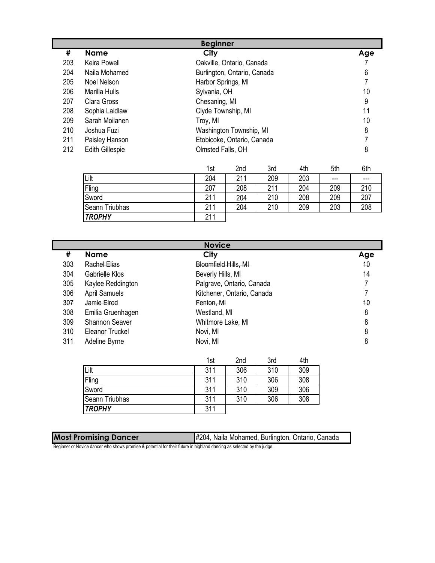|     | <b>Beginner</b>        |                             |     |  |  |
|-----|------------------------|-----------------------------|-----|--|--|
| #   | <b>Name</b>            | City                        | Age |  |  |
| 203 | Keira Powell           | Oakville, Ontario, Canada   |     |  |  |
| 204 | Naila Mohamed          | Burlington, Ontario, Canada | 6   |  |  |
| 205 | Noel Nelson            | Harbor Springs, MI          |     |  |  |
| 206 | Marilla Hulls          | Sylvania, OH                | 10  |  |  |
| 207 | Clara Gross            | Chesaning, MI               | 9   |  |  |
| 208 | Sophia Laidlaw         | Clyde Township, MI          | 11  |  |  |
| 209 | Sarah Moilanen         | Troy, MI                    | 10  |  |  |
| 210 | Joshua Fuzi            | Washington Township, MI     | 8   |  |  |
| 211 | Paisley Hanson         | Etobicoke, Ontario, Canada  |     |  |  |
| 212 | <b>Edith Gillespie</b> | Olmsted Falls, OH           | 8   |  |  |

|                | 1st | 2nd | 3rd | 4th | 5th  | 6th   |
|----------------|-----|-----|-----|-----|------|-------|
| Lilt           | 204 | 211 | 209 | 203 | $--$ | $---$ |
| Fling          | 207 | 208 | 211 | 204 | 209  | 210   |
| Sword          | 211 | 204 | 210 | 208 | 209  | 207   |
| Seann Triubhas | 211 | 204 | 210 | 209 | 203  | 208   |
| <b>TROPHY</b>  | 211 |     |     |     |      |       |

|     | <b>Novice</b>         |                            |     |  |  |
|-----|-----------------------|----------------------------|-----|--|--|
| #   | <b>Name</b>           | City                       | Age |  |  |
| 303 | <b>Rachel Elias</b>   | Bloomfield Hills, MI       | 40  |  |  |
| 304 | Gabrielle Klos        | Beverly Hills, MI          | 14  |  |  |
| 305 | Kaylee Reddington     | Palgrave, Ontario, Canada  |     |  |  |
| 306 | <b>April Samuels</b>  | Kitchener, Ontario, Canada |     |  |  |
| 307 | Jamie Elrod           | Fenton, MI                 | 40  |  |  |
| 308 | Emilia Gruenhagen     | Westland, MI               | 8   |  |  |
| 309 | <b>Shannon Seaver</b> | Whitmore Lake, MI          | 8   |  |  |
| 310 | Eleanor Truckel       | Novi, MI                   | 8   |  |  |
| 311 | Adeline Byrne         | Novi, MI                   | 8   |  |  |

|                | 1st | 2nd | 3rd | 4th |
|----------------|-----|-----|-----|-----|
| Lilt           | 311 | 306 | 310 | 309 |
| Fling          | 311 | 310 | 306 | 308 |
| Sword          | 311 | 310 | 309 | 306 |
| Seann Triubhas | 311 | 310 | 306 | 308 |
| <b>TROPHY</b>  | 311 |     |     |     |

| <b>Most Promising Dancer</b> | #204, Naila Mohamed, Burlington, Ontario, Canada |
|------------------------------|--------------------------------------------------|
|                              |                                                  |

Beginner or Novice dancer who shows promise & potential for their future in highland dancing as selected by the judge.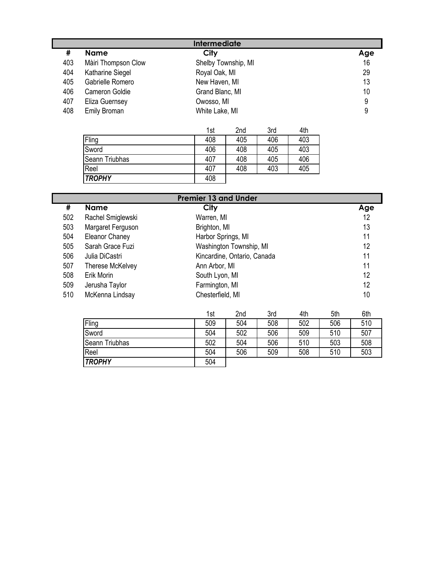|     | <b>Intermediate</b> |                     |     |  |
|-----|---------------------|---------------------|-----|--|
| #   | <b>Name</b>         | City                | Age |  |
| 403 | Màiri Thompson Clow | Shelby Township, MI | 16  |  |
| 404 | Katharine Siegel    | Royal Oak, MI       | 29  |  |
| 405 | Gabrielle Romero    | New Haven, MI       | 13  |  |
| 406 | Cameron Goldie      | Grand Blanc, MI     | 10  |  |
| 407 | Eliza Guernsey      | Owosso, MI          | 9   |  |
| 408 | Emily Broman        | White Lake, MI      | 9   |  |

|                       | 1st | 2nd | 3rd | 4th |
|-----------------------|-----|-----|-----|-----|
| Fling                 | 408 | 405 | 406 | 403 |
| Sword                 | 406 | 408 | 405 | 403 |
| <b>Seann Triubhas</b> | 407 | 408 | 405 | 406 |
| Reel                  | 407 | 408 | 403 | 405 |
| <b>TROPHY</b>         | 408 |     |     |     |

|     | <b>Premier 13 and Under</b> |                             |     |  |  |
|-----|-----------------------------|-----------------------------|-----|--|--|
| #   | <b>Name</b>                 | City                        | Age |  |  |
| 502 | Rachel Smiglewski           | Warren, MI                  | 12  |  |  |
| 503 | Margaret Ferguson           | Brighton, MI                | 13  |  |  |
| 504 | Eleanor Chaney              | Harbor Springs, MI          | 11  |  |  |
| 505 | Sarah Grace Fuzi            | Washington Township, MI     | 12  |  |  |
| 506 | Julia DiCastri              | Kincardine, Ontario, Canada | 11  |  |  |
| 507 | Therese McKelvey            | Ann Arbor, MI               | 11  |  |  |
| 508 | Erik Morin                  | South Lyon, MI              | 12  |  |  |
| 509 | Jerusha Taylor              | Farmington, MI              | 12  |  |  |
| 510 | McKenna Lindsay             | Chesterfield, MI            | 10  |  |  |

|                | 1st | 2nd | 3rd | 4th | 5th | 6th |
|----------------|-----|-----|-----|-----|-----|-----|
| Fling          | 509 | 504 | 508 | 502 | 506 | 510 |
| Sword          | 504 | 502 | 506 | 509 | 510 | 507 |
| Seann Triubhas | 502 | 504 | 506 | 510 | 503 | 508 |
| Reel           | 504 | 506 | 509 | 508 | 510 | 503 |
| <b>TROPHY</b>  | 504 |     |     |     |     |     |